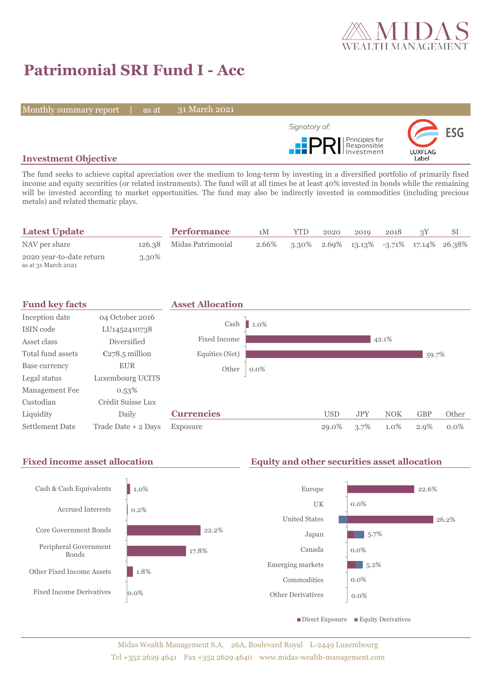

# **Patrimonial SRI Fund I - Acc**

Monthly summary report | as at

31 March 2021



## **Investment Objective**

The fund seeks to achieve capital apreciation over the medium to long-term by investing in a diversified portfolio of primarily fixed income and equity securities (or related instruments). The fund will at all times be at least 40% invested in bonds while the remaining will be invested according to market opportunities. The fund may also be indirectly invested in commodities (including precious metals) and related thematic plays.

| <b>Latest Update</b>                            |       | <b>Performance</b>       | 1M    | <b>YTD</b> | 2020 | 2019 | 2018 |                                            |
|-------------------------------------------------|-------|--------------------------|-------|------------|------|------|------|--------------------------------------------|
| NAV per share                                   |       | 126.38 Midas Patrimonial | 2.66% |            |      |      |      | $3.30\%$ 2.69% 13.13% -3.71% 17.14% 26.38% |
| 2020 year-to-date return<br>as at 31 March 2021 | 3.30% |                          |       |            |      |      |      |                                            |





## Midas Wealth Management S.A. 26A, Boulevard Royal L-2449 Luxembourg Tel +352 2629 4641 Fax +352 2629 4640 www.midas-wealth-management.com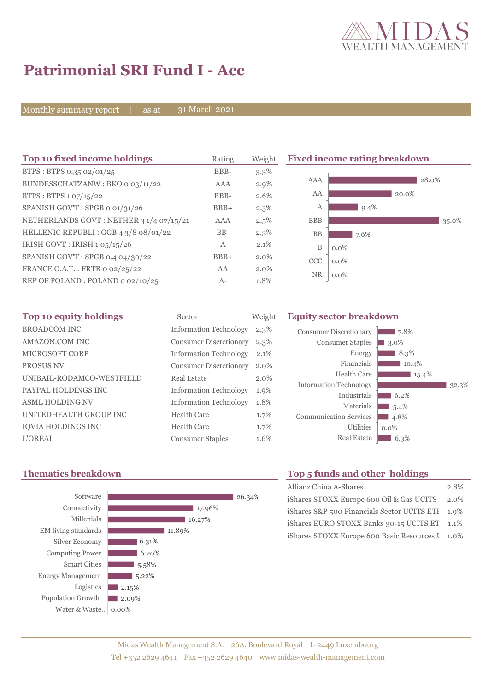

# **Patrimonial SRI Fund I - Acc**

Monthly summary report | as at

31 March 2021

| Top 10 fixed income holdings            | Rating       | Weight  | <b>Fixed income rating breakdown</b> |         |  |
|-----------------------------------------|--------------|---------|--------------------------------------|---------|--|
| BTPS: BTPS 0.35 02/01/25                | BBB-         | $3.3\%$ |                                      |         |  |
| BUNDESSCHATZANW: BKO 0 03/11/22         | AAA          | $2.9\%$ | AAA                                  | 28.0%   |  |
| BTPS: BTPS 1 07/15/22                   | BBB-         | 2.6%    | AA                                   | 20.0%   |  |
| SPANISH GOV'T: SPGB o 01/31/26          | $BBB+$       | 2.5%    | А                                    | $9.4\%$ |  |
| NETHERLANDS GOVT: NETHER 3 1/4 07/15/21 | AAA          | 2.5%    | <b>BBB</b>                           | 35.0%   |  |
| HELLENIC REPUBLI : GGB 4 3/8 08/01/22   | $BB-$        | $2.3\%$ | <b>BB</b>                            | 7.6%    |  |
| IRISH GOVT : IRISH 1 05/15/26           | $\mathbf{A}$ | 2.1%    | B                                    | $0.0\%$ |  |
| SPANISH GOV'T: SPGB 0.4 04/30/22        | $BBB+$       | $2.0\%$ | <b>CCC</b>                           | $0.0\%$ |  |
| FRANCE O.A.T.: FRTR 0 02/25/22          | AA           | $2.0\%$ | <b>NR</b>                            |         |  |
| REP OF POLAND: POLAND 0 02/10/25        | $A-$         | 1.8%    |                                      | $0.0\%$ |  |

| Top 10 equity holdings    | Sector                        | Weight  |
|---------------------------|-------------------------------|---------|
| <b>BROADCOM INC</b>       | <b>Information Technology</b> | 2.3%    |
| AMAZON.COM INC            | <b>Consumer Discretionary</b> | 2.3%    |
| MICROSOFT CORP            | <b>Information Technology</b> | 2.1%    |
| PROSUS NV                 | <b>Consumer Discretionary</b> | $2.0\%$ |
| UNIBAIL-RODAMCO-WESTFIELD | Real Estate                   | 2.0%    |
| PAYPAL HOLDINGS INC       | <b>Information Technology</b> | 1.9%    |
| <b>ASML HOLDING NV</b>    | <b>Information Technology</b> | 1.8%    |
| UNITEDHEALTH GROUP INC    | Health Care                   | 1.7%    |
| <b>IOVIA HOLDINGS INC</b> | Health Care                   | 1.7%    |
| <b>L'OREAL</b>            | <b>Consumer Staples</b>       | 1.6%    |

#### **Equity sector breakdown**





# **Thematics breakdown Top 5 funds and other holdings**

| Allianz China A-Shares                           | 2.8% |
|--------------------------------------------------|------|
| iShares STOXX Europe 600 Oil & Gas UCITS 2.0%    |      |
| iShares S&P 500 Financials Sector UCITS ETI 1.9% |      |
|                                                  |      |
| iShares EURO STOXX Banks 30-15 UCITS ET 1.1%     |      |
| iShares STOXX Europe 600 Basic Resources I 1.0%  |      |